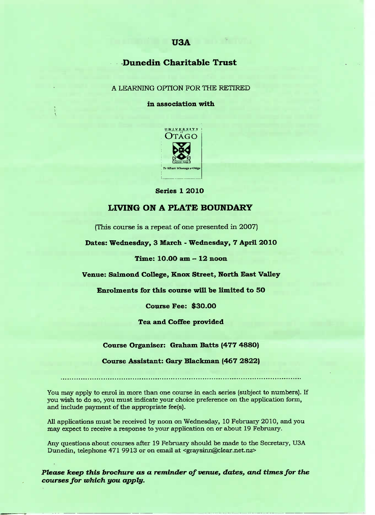## Dunedin **Charitable Trust**

A LEARNING OPTION FOR THE RETIRED

**in association with**



Series 1 2010

## **LIVING ON A PLATE BOUNDARY**

(This course is a repeat of one presented in 2007)

**Dates:** Wednesday, **3 March -** Wednesday, **7 April 2010**

**Time: 10.0O am - 12 noon**

**Venue: Salmond College, Knox Street, North East Valley**

**Enrolments for this course will be limited to 50**

**Course Fee: \$30.00**

**Tea and Coffee provided**

**Course Organiser: Graham** Batts **(477 4880)**

**Course Assistant: Gary Blackman (467 2822)**

You may apply to enrol in more than one course in each series (subject to numbers). If you wish to do so, you must indicate your choice preference on the application form, and include payment of the appropriate fee(s).

All applications must be received by noon on Wednesday, 10 February 2010, and you may expect to receive a response to your application on or about 19 February.

Any questions about courses after 19 February should be made to the Secretary, USA Dunedin, telephone 471 9913 or on email at <graysinn@clear.net.nz>

*Please keep this brochure* **as a** *reminder of venuef dates, and times for the courses for which you apply.*